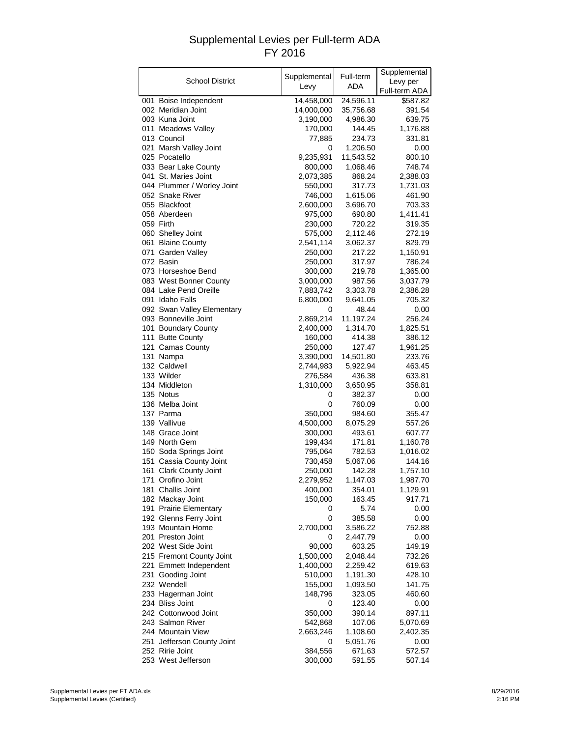## Supplemental Levies per Full-term ADA FY 2016

|                                                   | Supplemental         | Full-term          | Supplemental       |
|---------------------------------------------------|----------------------|--------------------|--------------------|
| School District                                   | Levy                 | ADA                | Levy per           |
|                                                   |                      |                    | Full-term ADA      |
| 001 Boise Independent                             | 14,458,000           | 24,596.11          | \$587.82           |
| 002 Meridian Joint                                | 14,000,000           | 35,756.68          | 391.54             |
| 003 Kuna Joint                                    | 3,190,000            | 4,986.30           | 639.75             |
| 011 Meadows Valley                                | 170,000              | 144.45             | 1,176.88           |
| 013 Council                                       | 77,885               | 234.73             | 331.81             |
| 021 Marsh Valley Joint                            | 0                    | 1,206.50           | 0.00               |
| 025 Pocatello<br>033 Bear Lake County             | 9,235,931            | 11,543.52          | 800.10             |
| 041 St. Maries Joint                              | 800,000<br>2,073,385 | 1,068.46           | 748.74<br>2,388.03 |
| 044 Plummer / Worley Joint                        | 550,000              | 868.24<br>317.73   | 1,731.03           |
| 052 Snake River                                   | 746,000              | 1,615.06           | 461.90             |
| 055 Blackfoot                                     | 2,600,000            | 3,696.70           | 703.33             |
| 058 Aberdeen                                      | 975,000              | 690.80             | 1,411.41           |
| 059 Firth                                         | 230,000              | 720.22             | 319.35             |
| 060 Shelley Joint                                 | 575,000              | 2,112.46           | 272.19             |
| 061 Blaine County                                 | 2,541,114            | 3,062.37           | 829.79             |
| 071 Garden Valley                                 | 250,000              | 217.22             | 1,150.91           |
| 072 Basin                                         | 250,000              | 317.97             | 786.24             |
| 073 Horseshoe Bend                                | 300,000              | 219.78             | 1,365.00           |
| 083 West Bonner County                            | 3,000,000            | 987.56             | 3,037.79           |
| 084 Lake Pend Oreille                             | 7,883,742            | 3,303.78           | 2,386.28           |
| 091 Idaho Falls                                   | 6,800,000            | 9,641.05           | 705.32             |
| 092 Swan Valley Elementary                        | 0                    | 48.44              | 0.00               |
| 093 Bonneville Joint                              | 2,869,214            | 11,197.24          | 256.24             |
| 101 Boundary County                               | 2,400,000            | 1,314.70           | 1,825.51           |
| 111 Butte County                                  | 160,000              | 414.38             | 386.12             |
| 121 Camas County                                  | 250,000              | 127.47             | 1,961.25           |
| 131 Nampa                                         | 3,390,000            | 14,501.80          | 233.76             |
| 132 Caldwell                                      | 2,744,983            | 5,922.94           | 463.45             |
| 133 Wilder                                        | 276,584              | 436.38             | 633.81             |
| 134 Middleton                                     | 1,310,000            | 3,650.95           | 358.81             |
| 135 Notus                                         | 0                    | 382.37             | 0.00               |
| 136 Melba Joint                                   | 0                    | 760.09             | 0.00               |
| 137 Parma                                         | 350,000              | 984.60             | 355.47             |
| 139 Vallivue                                      | 4,500,000            | 8,075.29           | 557.26             |
| 148 Grace Joint                                   | 300,000              | 493.61             | 607.77             |
| 149 North Gem                                     | 199,434              | 171.81             | 1,160.78           |
| 150 Soda Springs Joint                            | 795,064<br>730,458   | 782.53<br>5,067.06 | 1,016.02<br>144.16 |
| 151 Cassia County Joint<br>161 Clark County Joint | 250,000              | 142.28             | 1,757.10           |
| 171 Orofino Joint                                 | 2,279,952            | 1,147.03           | 1,987.70           |
| 181 Challis Joint                                 | 400,000              | 354.01             | 1,129.91           |
| 182 Mackay Joint                                  | 150,000              | 163.45             | 917.71             |
| 191 Prairie Elementary                            | 0                    | 5.74               | 0.00               |
| 192 Glenns Ferry Joint                            | 0                    | 385.58             | 0.00               |
| 193 Mountain Home                                 | 2,700,000            | 3,586.22           | 752.88             |
| 201 Preston Joint                                 | 0                    | 2,447.79           | 0.00               |
| 202 West Side Joint                               | 90,000               | 603.25             | 149.19             |
| 215 Fremont County Joint                          | 1,500,000            | 2,048.44           | 732.26             |
| 221 Emmett Independent                            | 1,400,000            | 2,259.42           | 619.63             |
| 231 Gooding Joint                                 | 510,000              | 1,191.30           | 428.10             |
| 232 Wendell                                       | 155,000              | 1,093.50           | 141.75             |
| 233 Hagerman Joint                                | 148,796              | 323.05             | 460.60             |
| 234 Bliss Joint                                   | 0                    | 123.40             | 0.00               |
| 242 Cottonwood Joint                              | 350,000              | 390.14             | 897.11             |
| 243 Salmon River                                  | 542,868              | 107.06             | 5,070.69           |
| 244 Mountain View                                 | 2,663,246            | 1,108.60           | 2,402.35           |
| 251 Jefferson County Joint                        | 0                    | 5,051.76           | 0.00               |
| 252 Ririe Joint                                   | 384,556              | 671.63             | 572.57             |
| 253 West Jefferson                                | 300,000              | 591.55             | 507.14             |